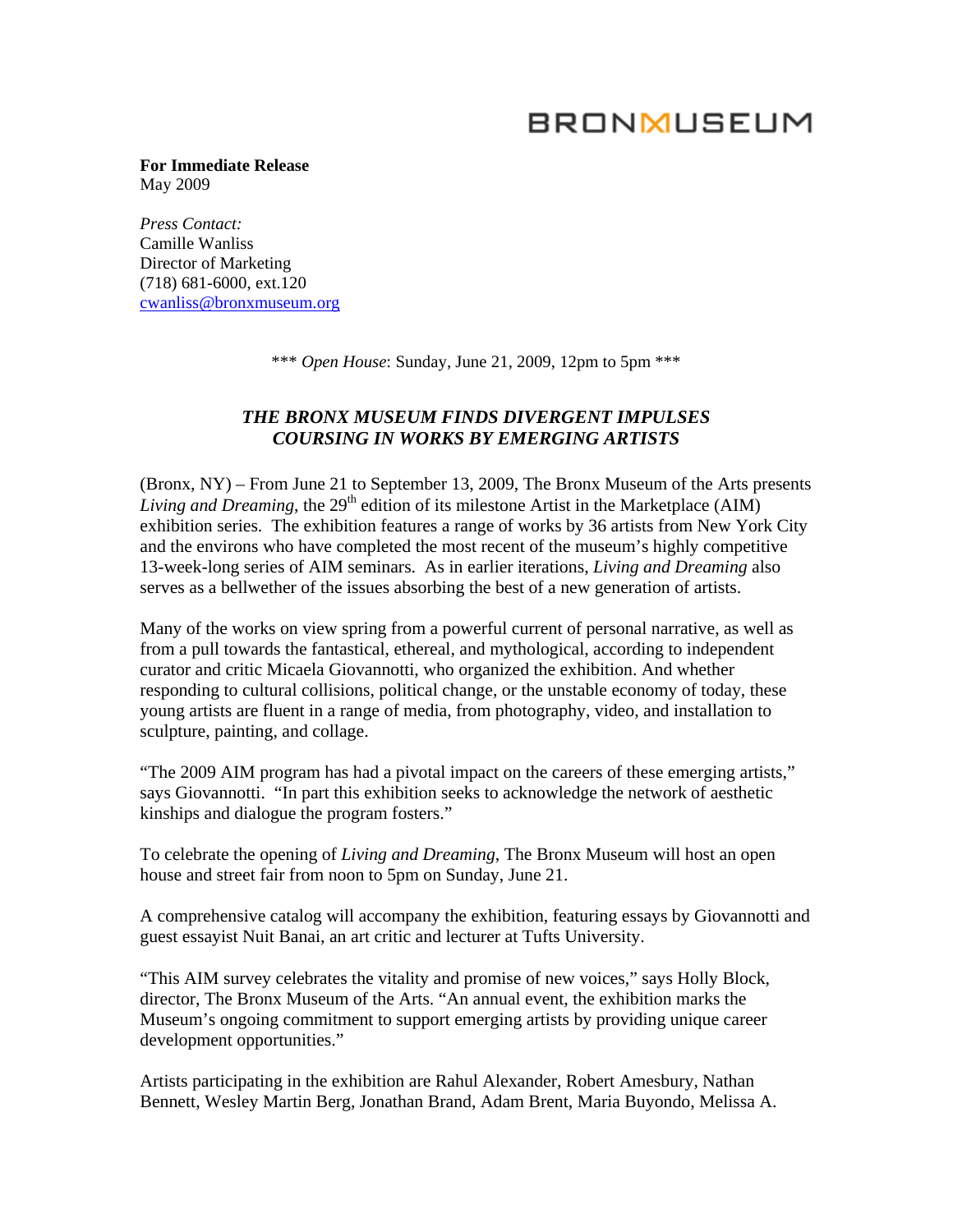## **BRONMUSEUM**

**For Immediate Release** May 2009

*Press Contact:*  Camille Wanliss Director of Marketing (718) 681-6000, ext.120 [cwanliss@bronxmuseum.org](mailto:cwanliss@bronxmuseum.org)

\*\*\* *Open House*: Sunday, June 21, 2009, 12pm to 5pm \*\*\*

## *THE BRONX MUSEUM FINDS DIVERGENT IMPULSES COURSING IN WORKS BY EMERGING ARTISTS*

(Bronx, NY) – From June 21 to September 13, 2009, The Bronx Museum of the Arts presents *Living and Dreaming*, the 29<sup>th</sup> edition of its milestone Artist in the Marketplace (AIM) exhibition series. The exhibition features a range of works by 36 artists from New York City and the environs who have completed the most recent of the museum's highly competitive 13-week-long series of AIM seminars. As in earlier iterations, *Living and Dreaming* also serves as a bellwether of the issues absorbing the best of a new generation of artists.

Many of the works on view spring from a powerful current of personal narrative, as well as from a pull towards the fantastical, ethereal, and mythological, according to independent curator and critic Micaela Giovannotti, who organized the exhibition. And whether responding to cultural collisions, political change, or the unstable economy of today, these young artists are fluent in a range of media, from photography, video, and installation to sculpture, painting, and collage.

"The 2009 AIM program has had a pivotal impact on the careers of these emerging artists," says Giovannotti. "In part this exhibition seeks to acknowledge the network of aesthetic kinships and dialogue the program fosters."

To celebrate the opening of *Living and Dreaming*, The Bronx Museum will host an open house and street fair from noon to 5pm on Sunday, June 21.

A comprehensive catalog will accompany the exhibition, featuring essays by Giovannotti and guest essayist Nuit Banai, an art critic and lecturer at Tufts University.

"This AIM survey celebrates the vitality and promise of new voices," says Holly Block, director, The Bronx Museum of the Arts. "An annual event, the exhibition marks the Museum's ongoing commitment to support emerging artists by providing unique career development opportunities."

Artists participating in the exhibition are Rahul Alexander, Robert Amesbury, Nathan Bennett, Wesley Martin Berg, Jonathan Brand, Adam Brent, Maria Buyondo, Melissa A.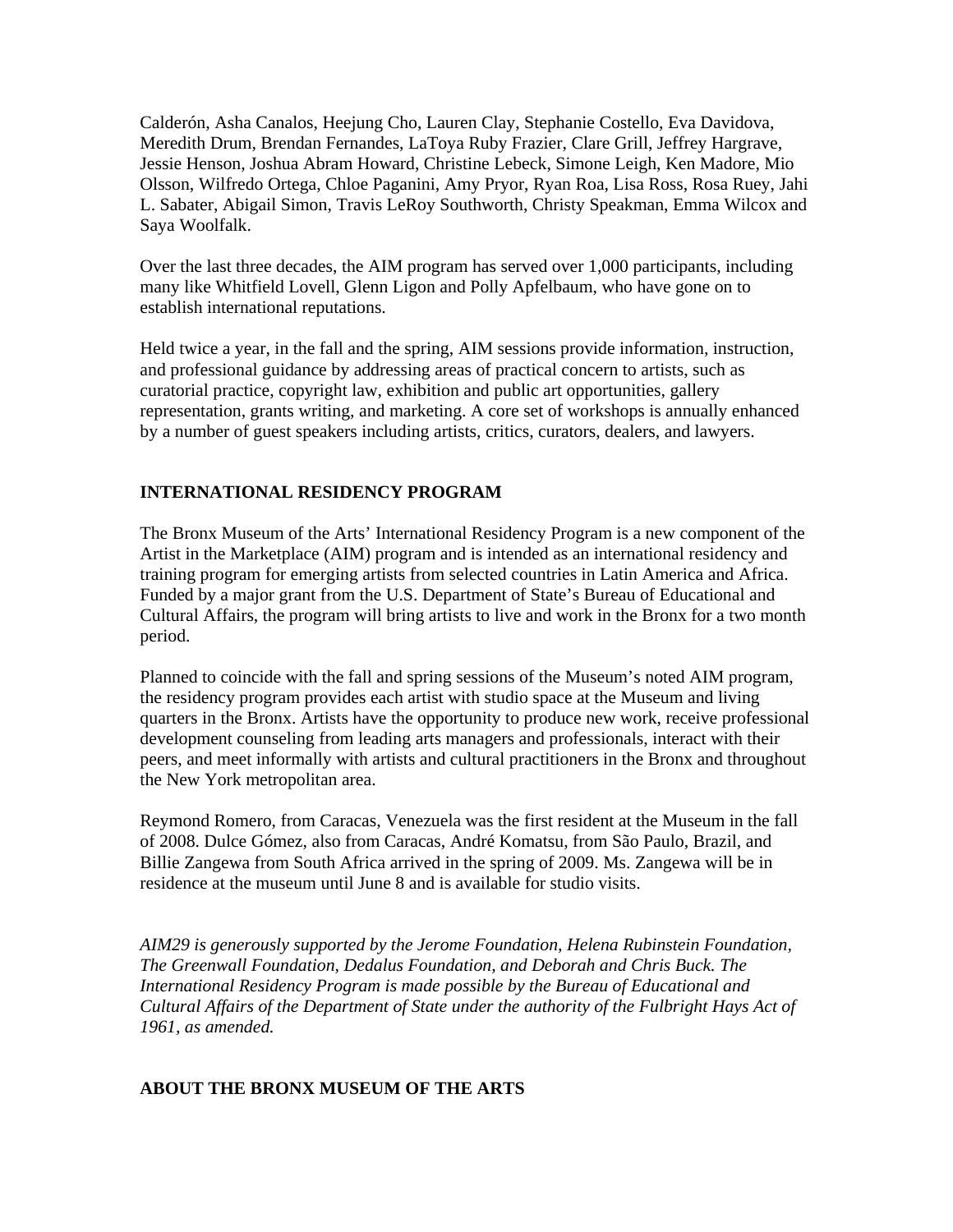Calderón, Asha Canalos, Heejung Cho, Lauren Clay, Stephanie Costello, Eva Davidova, Meredith Drum, Brendan Fernandes, LaToya Ruby Frazier, Clare Grill, Jeffrey Hargrave, Jessie Henson, Joshua Abram Howard, Christine Lebeck, Simone Leigh, Ken Madore, Mio Olsson, Wilfredo Ortega, Chloe Paganini, Amy Pryor, Ryan Roa, Lisa Ross, Rosa Ruey, Jahi L. Sabater, Abigail Simon, Travis LeRoy Southworth, Christy Speakman, Emma Wilcox and Saya Woolfalk.

Over the last three decades, the AIM program has served over 1,000 participants, including many like Whitfield Lovell, Glenn Ligon and Polly Apfelbaum, who have gone on to establish international reputations.

Held twice a year, in the fall and the spring, AIM sessions provide information, instruction, and professional guidance by addressing areas of practical concern to artists, such as curatorial practice, copyright law, exhibition and public art opportunities, gallery representation, grants writing, and marketing. A core set of workshops is annually enhanced by a number of guest speakers including artists, critics, curators, dealers, and lawyers.

## **INTERNATIONAL RESIDENCY PROGRAM**

The Bronx Museum of the Arts' International Residency Program is a new component of the Artist in the Marketplace (AIM) program and is intended as an international residency and training program for emerging artists from selected countries in Latin America and Africa. Funded by a major grant from the U.S. Department of State's Bureau of Educational and Cultural Affairs, the program will bring artists to live and work in the Bronx for a two month period.

Planned to coincide with the fall and spring sessions of the Museum's noted AIM program, the residency program provides each artist with studio space at the Museum and living quarters in the Bronx. Artists have the opportunity to produce new work, receive professional development counseling from leading arts managers and professionals, interact with their peers, and meet informally with artists and cultural practitioners in the Bronx and throughout the New York metropolitan area.

Reymond Romero, from Caracas, Venezuela was the first resident at the Museum in the fall of 2008. Dulce Gómez, also from Caracas, André Komatsu, from São Paulo, Brazil, and Billie Zangewa from South Africa arrived in the spring of 2009. Ms. Zangewa will be in residence at the museum until June 8 and is available for studio visits.

*AIM29 is generously supported by the Jerome Foundation, Helena Rubinstein Foundation, The Greenwall Foundation, Dedalus Foundation, and Deborah and Chris Buck. The International Residency Program is made possible by the Bureau of Educational and Cultural Affairs of the Department of State under the authority of the Fulbright Hays Act of 1961, as amended.* 

## **ABOUT THE BRONX MUSEUM OF THE ARTS**